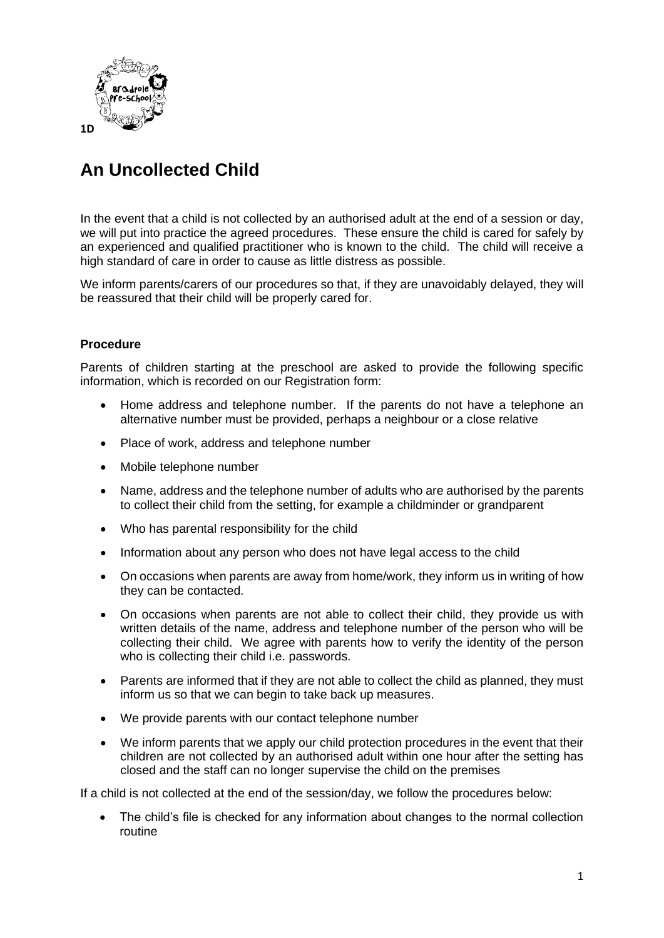

## **An Uncollected Child**

In the event that a child is not collected by an authorised adult at the end of a session or day, we will put into practice the agreed procedures. These ensure the child is cared for safely by an experienced and qualified practitioner who is known to the child. The child will receive a high standard of care in order to cause as little distress as possible.

We inform parents/carers of our procedures so that, if they are unavoidably delayed, they will be reassured that their child will be properly cared for.

## **Procedure**

Parents of children starting at the preschool are asked to provide the following specific information, which is recorded on our Registration form:

- Home address and telephone number. If the parents do not have a telephone an alternative number must be provided, perhaps a neighbour or a close relative
- Place of work, address and telephone number
- Mobile telephone number
- Name, address and the telephone number of adults who are authorised by the parents to collect their child from the setting, for example a childminder or grandparent
- Who has parental responsibility for the child
- Information about any person who does not have legal access to the child
- On occasions when parents are away from home/work, they inform us in writing of how they can be contacted.
- On occasions when parents are not able to collect their child, they provide us with written details of the name, address and telephone number of the person who will be collecting their child. We agree with parents how to verify the identity of the person who is collecting their child i.e. passwords.
- Parents are informed that if they are not able to collect the child as planned, they must inform us so that we can begin to take back up measures.
- We provide parents with our contact telephone number
- We inform parents that we apply our child protection procedures in the event that their children are not collected by an authorised adult within one hour after the setting has closed and the staff can no longer supervise the child on the premises

If a child is not collected at the end of the session/day, we follow the procedures below:

• The child's file is checked for any information about changes to the normal collection routine